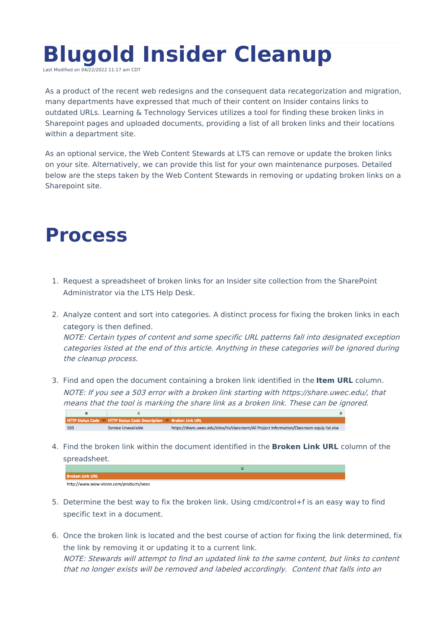## **Blugold Insider Cleanup**

Last Modified on 04/22/2022 11:17 am CDT

As a product of the recent web redesigns and the consequent data recategorization and migration, many departments have expressed that much of their content on Insider contains links to outdated URLs. Learning & Technology Services utilizes a tool for finding these broken links in Sharepoint pages and uploaded documents, providing a list of all broken links and their locations within a department site.

As an optional service, the Web Content Stewards at LTS can remove or update the broken links on your site. Alternatively, we can provide this list for your own maintenance purposes. Detailed below are the steps taken by the Web Content Stewards in removing or updating broken links on a Sharepoint site.

## **Process**

- 1. Request a spreadsheet of broken links for an Insider site collection from the SharePoint Administrator via the LTS Help Desk.
- 2. Analyze content and sort into categories. A distinct process for fixing the broken links in each category is then defined.

NOTE: Certain types of content and some specific URL patterns fall into designated exception categories listed at the end of this article. Anything in these categories will be ignored during the cleanup process.

3. Find and open the document containing a broken link identified in the **Item URL** column. NOTE: If you see <sup>a</sup> 503 error with <sup>a</sup> broken link starting with https://share.uwec.edu/, that means that the tool is marking the share link as <sup>a</sup> broken link. These can be ignored.  $\overline{c}$ 

|     | <b>THE STRATES CODE THE PROTECT OF STRATEGIES CODE DESCRIPTION CONCRETEITING ONL</b> |                                                                                              |
|-----|--------------------------------------------------------------------------------------|----------------------------------------------------------------------------------------------|
| 503 | Service Unavailable                                                                  | https://share.uwec.edu/sites/lts/classroom/All Project Information/Classroom equip list.xlsx |

4. Find the broken link within the document identified in the **Broken Link URL** column of the spreadsheet.



- 5. Determine the best way to fix the broken link. Using cmd/control+f is an easy way to find specific text in a document.
- 6. Once the broken link is located and the best course of action for fixing the link determined, fix the link by removing it or updating it to a current link. NOTE: Stewards will attempt to find an updated link to the same content, but links to content that no longer exists will be removed and labeled accordingly. Content that falls into an